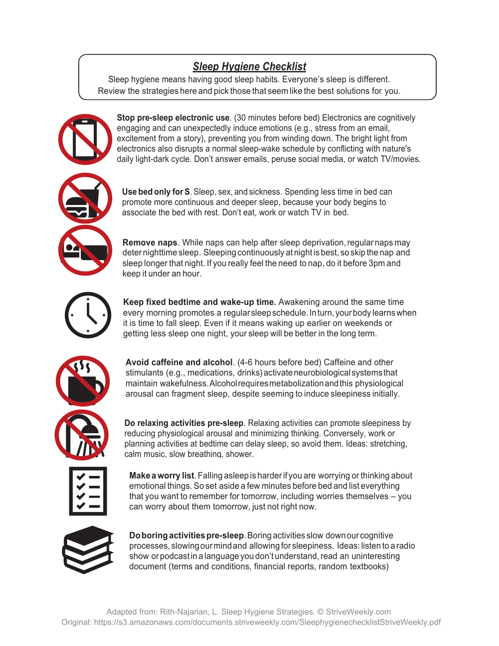## *Sleep Hygiene Checklist*

Sleep hygiene means having good sleep habits. Everyone's sleep is different. Review the strategies here and pick those that seem like the best solutions for you.



**Stop pre-sleep electronic use**. (30 minutes before bed) Electronics are cognitively engaging and can unexpectedly induce emotions (e.g., stress from an email, excitement from a story), preventing you from winding down. The bright light from electronics also disrupts a normal sleep-wake schedule by conflicting with nature's daily light-dark cycle. Don't answer emails, peruse social media, or watch TV/movies.

**Use bed only for S**. Sleep, sex, and sickness. Spending less time in bed can promote more continuous and deeper sleep, because your body begins to associate the bed with rest. Don't eat, work or watch TV in bed.

**Remove naps**. While naps can help after sleep deprivation, regular naps may deter nighttime sleep. Sleeping continuously at night is best, so skip the nap and sleep longer that night. If you really feel the need to nap, do it before 3pm and keep it under an hour.



**Keep fixed bedtime and wake-up time.** Awakening around the same time every morning promotes a regular sleep schedule. In turn, your body learns when it is time to fall sleep. Even if it means waking up earlier on weekends or getting less sleep one night, your sleep will be better in the long term.



**Avoid caffeine and alcohol**. (4-6 hours before bed) Caffeine and other stimulants (e.g., medications, drinks) activate neurobiological systems that maintain wakefulness. Alcohol requires metabolization and this physiological arousal can fragment sleep, despite seeming to induce sleepiness initially.

**Do relaxing activities pre-sleep**. Relaxing activities can promote sleepiness by reducing physiological arousal and minimizing thinking. Conversely, work or planning activities at bedtime can delay sleep, so avoid them. Ideas: stretching, calm music, slow breathing, shower.

**Make a worry list**. Falling asleep is harder if you are worrying or thinking about emotional things. So set aside a few minutes before bed and list everything that you want to remember for tomorrow, including worries themselves – you can worry about them tomorrow, just not right now.



**Do boring activities pre-sleep**. Boring activities slow down our cognitive processes, slowing our mind and allowing for sleepiness. Ideas: listen to a radio show or podcast in a language you don't understand, read an uninteresting document (terms and conditions, financial reports, random textbooks)